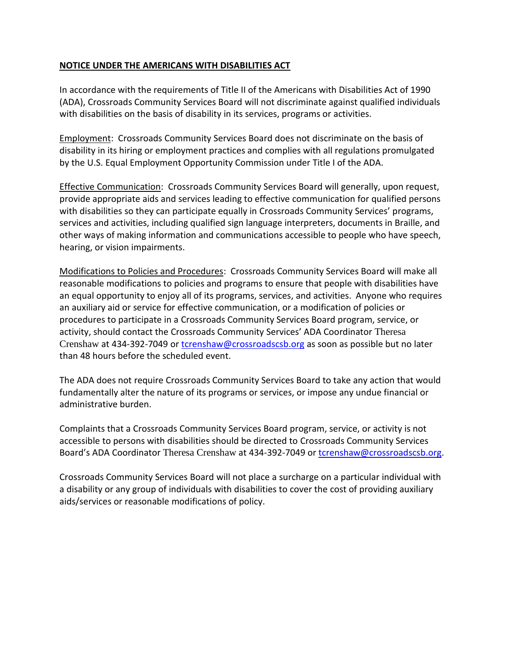## **NOTICE UNDER THE AMERICANS WITH DISABILITIES ACT**

In accordance with the requirements of Title II of the Americans with Disabilities Act of 1990 (ADA), Crossroads Community Services Board will not discriminate against qualified individuals with disabilities on the basis of disability in its services, programs or activities.

Employment: Crossroads Community Services Board does not discriminate on the basis of disability in its hiring or employment practices and complies with all regulations promulgated by the U.S. Equal Employment Opportunity Commission under Title I of the ADA.

Effective Communication: Crossroads Community Services Board will generally, upon request, provide appropriate aids and services leading to effective communication for qualified persons with disabilities so they can participate equally in Crossroads Community Services' programs, services and activities, including qualified sign language interpreters, documents in Braille, and other ways of making information and communications accessible to people who have speech, hearing, or vision impairments.

Modifications to Policies and Procedures: Crossroads Community Services Board will make all reasonable modifications to policies and programs to ensure that people with disabilities have an equal opportunity to enjoy all of its programs, services, and activities. Anyone who requires an auxiliary aid or service for effective communication, or a modification of policies or procedures to participate in a Crossroads Community Services Board program, service, or activity, should contact the Crossroads Community Services' ADA Coordinator Theresa Crenshaw at 434-392-7049 or [tcrenshaw@crossroadscsb.org](mailto:tcrenshaw@crossroadscsb.org) as soon as possible but no later than 48 hours before the scheduled event.

The ADA does not require Crossroads Community Services Board to take any action that would fundamentally alter the nature of its programs or services, or impose any undue financial or administrative burden.

Complaints that a Crossroads Community Services Board program, service, or activity is not accessible to persons with disabilities should be directed to Crossroads Community Services Board's ADA Coordinator Theresa Crenshaw at 434-392-7049 or [tcrenshaw@crossroadscsb.org.](mailto:tcrenshaw@crossroadscsb.org)

Crossroads Community Services Board will not place a surcharge on a particular individual with a disability or any group of individuals with disabilities to cover the cost of providing auxiliary aids/services or reasonable modifications of policy.